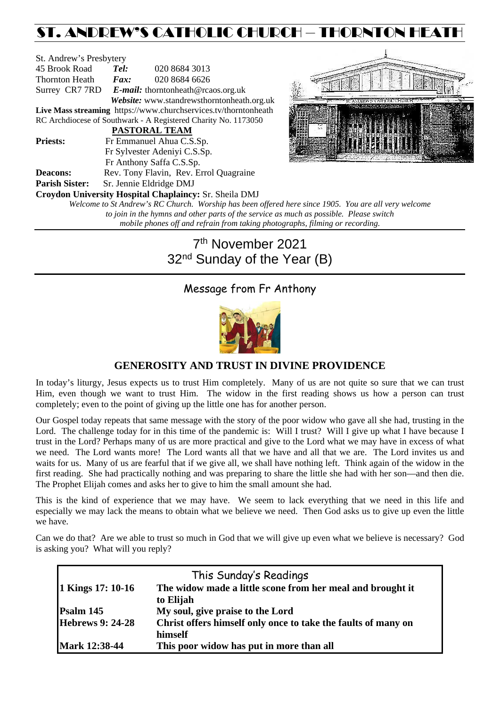# ST. ANDREW'S CATHOLIC CHURCH – THORNTON HEATH

| St. Andrew's Presbytery |                                               |                                                                 |  |  |  |
|-------------------------|-----------------------------------------------|-----------------------------------------------------------------|--|--|--|
| 45 Brook Road           | 020 8684 3013<br>Tel:                         |                                                                 |  |  |  |
| Thornton Heath          | $\boldsymbol{F}$ <i>ax</i> :<br>020 8684 6626 |                                                                 |  |  |  |
|                         |                                               | Surrey CR7 7RD E-mail: thorntonheath@rcaos.org.uk               |  |  |  |
|                         |                                               | Website: www.standrewsthorntonheath.org.uk                      |  |  |  |
|                         |                                               | Live Mass streaming https://www.churchservices.tv/thorntonheath |  |  |  |
|                         |                                               | RC Archdiocese of Southwark - A Registered Charity No. 1173050  |  |  |  |
|                         |                                               | <b>PASTORAL TEAM</b>                                            |  |  |  |
| <b>Priests:</b>         | Fr Emmanuel Ahua C.S.Sp.                      |                                                                 |  |  |  |
|                         |                                               | Fr Sylvester Adeniyi C.S.Sp.                                    |  |  |  |
|                         |                                               | Fr Anthony Saffa C.S.Sp.                                        |  |  |  |
| <b>Deacons:</b>         | Rev. Tony Flavin, Rev. Errol Quagraine        |                                                                 |  |  |  |
| <b>Parish Sister:</b>   | Sr. Jennie Eldridge DMJ                       |                                                                 |  |  |  |
|                         |                                               | <b>Croydon University Hospital Chaplaincy: Sr. Sheila DMJ</b>   |  |  |  |
|                         |                                               | Welcome to St Andrew's RC Church. Worship has been offered      |  |  |  |
|                         |                                               | to join in the hymns and other parts of the service as i        |  |  |  |



*here since 1905. You are all very welcome to join in the hymns and other parts of the service as much as possible. Please switch mobile phones off and refrain from taking photographs, filming or recording.*

# 7th November 2021 32<sup>nd</sup> Sunday of the Year (B)

# Message from Fr Anthony



# **GENEROSITY AND TRUST IN DIVINE PROVIDENCE**

In today's liturgy, Jesus expects us to trust Him completely. Many of us are not quite so sure that we can trust Him, even though we want to trust Him. The widow in the first reading shows us how a person can trust completely; even to the point of giving up the little one has for another person.

Our Gospel today repeats that same message with the story of the poor widow who gave all she had, trusting in the Lord. The challenge today for in this time of the pandemic is: Will I trust? Will I give up what I have because I trust in the Lord? Perhaps many of us are more practical and give to the Lord what we may have in excess of what we need. The Lord wants more! The Lord wants all that we have and all that we are. The Lord invites us and waits for us. Many of us are fearful that if we give all, we shall have nothing left. Think again of the widow in the first reading. She had practically nothing and was preparing to share the little she had with her son—and then die. The Prophet Elijah comes and asks her to give to him the small amount she had.

This is the kind of experience that we may have. We seem to lack everything that we need in this life and especially we may lack the means to obtain what we believe we need. Then God asks us to give up even the little we have.

Can we do that? Are we able to trust so much in God that we will give up even what we believe is necessary? God is asking you? What will you reply?

|                         | This Sunday's Readings                                                   |
|-------------------------|--------------------------------------------------------------------------|
| 1 Kings 17: 10-16       | The widow made a little scone from her meal and brought it<br>to Elijah  |
| Psalm 145               | My soul, give praise to the Lord                                         |
| <b>Hebrews 9: 24-28</b> | Christ offers himself only once to take the faults of many on<br>himself |
| <b>Mark 12:38-44</b>    | This poor widow has put in more than all                                 |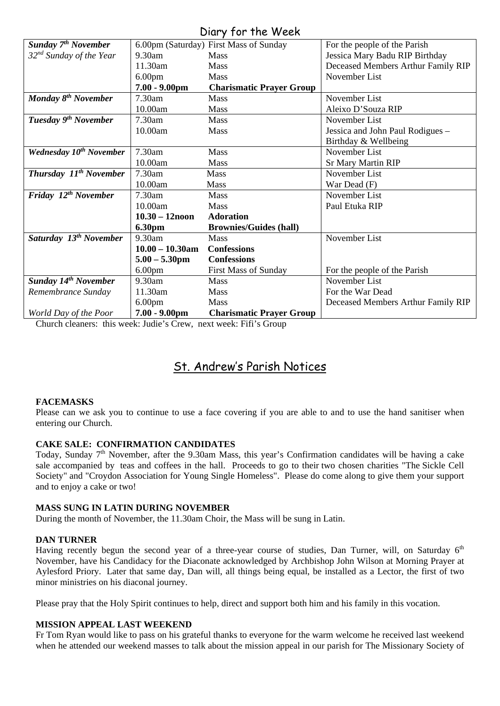# Diary for the Week

| UNIY JUI IIIC IVCCN                |                    |                                        |                                    |  |  |
|------------------------------------|--------------------|----------------------------------------|------------------------------------|--|--|
| Sunday 7 <sup>th</sup> November    |                    | 6.00pm (Saturday) First Mass of Sunday | For the people of the Parish       |  |  |
| $32nd$ Sunday of the Year          | 9.30am             | <b>Mass</b>                            | Jessica Mary Badu RIP Birthday     |  |  |
|                                    | 11.30am            | Mass                                   | Deceased Members Arthur Family RIP |  |  |
|                                    | 6.00 <sub>pm</sub> | <b>Mass</b>                            | November List                      |  |  |
|                                    | $7.00 - 9.00$ pm   | <b>Charismatic Prayer Group</b>        |                                    |  |  |
| Monday 8 <sup>th</sup> November    | 7.30am             | <b>Mass</b>                            | November List                      |  |  |
|                                    | 10.00am            | Mass                                   | Aleixo D'Souza RIP                 |  |  |
| Tuesday 9 <sup>th</sup> November   | 7.30am             | <b>Mass</b>                            | November List                      |  |  |
|                                    | 10.00am            | Mass                                   | Jessica and John Paul Rodigues -   |  |  |
|                                    |                    |                                        | Birthday & Wellbeing               |  |  |
| <b>Wednesday 10th November</b>     | 7.30am             | <b>Mass</b>                            | November List                      |  |  |
|                                    | 10.00am            | Mass                                   | <b>Sr Mary Martin RIP</b>          |  |  |
| Thursday 11 <sup>th</sup> November | 7.30am             | <b>Mass</b>                            | November List                      |  |  |
|                                    | 10.00am            | <b>Mass</b>                            | War Dead (F)                       |  |  |
| Friday 12 <sup>th</sup> November   | 7.30am             | <b>Mass</b>                            | November List                      |  |  |
|                                    | 10.00am            | <b>Mass</b>                            | Paul Etuka RIP                     |  |  |
|                                    | $10.30 - 12$ noon  | <b>Adoration</b>                       |                                    |  |  |
|                                    | <b>6.30pm</b>      | <b>Brownies/Guides (hall)</b>          |                                    |  |  |
| Saturday 13 <sup>th</sup> November | 9.30am             | Mass                                   | November List                      |  |  |
|                                    | $10.00 - 10.30$ am | <b>Confessions</b>                     |                                    |  |  |
|                                    | $5.00 - 5.30$ pm   | <b>Confessions</b>                     |                                    |  |  |
|                                    | 6.00 <sub>pm</sub> | <b>First Mass of Sunday</b>            | For the people of the Parish       |  |  |
| <b>Sunday 14th November</b>        | 9.30am             | <b>Mass</b>                            | November List                      |  |  |
| Remembrance Sunday                 | 11.30am            | Mass                                   | For the War Dead                   |  |  |
|                                    | 6.00 <sub>pm</sub> | <b>Mass</b>                            | Deceased Members Arthur Family RIP |  |  |
| World Day of the Poor              | $7.00 - 9.00$ pm   | <b>Charismatic Prayer Group</b>        |                                    |  |  |

Church cleaners: this week: Judie's Crew, next week: Fifi's Group

# St. Andrew's Parish Notices

# **FACEMASKS**

Please can we ask you to continue to use a face covering if you are able to and to use the hand sanitiser when entering our Church.

# **CAKE SALE: CONFIRMATION CANDIDATES**

Today, Sunday  $7<sup>th</sup>$  November, after the 9.30am Mass, this year's Confirmation candidates will be having a cake sale accompanied by teas and coffees in the hall. Proceeds to go to their two chosen charities "The Sickle Cell Society" and "Croydon Association for Young Single Homeless". Please do come along to give them your support and to enjoy a cake or two!

### **MASS SUNG IN LATIN DURING NOVEMBER**

During the month of November, the 11.30am Choir, the Mass will be sung in Latin.

### **DAN TURNER**

Having recently begun the second year of a three-year course of studies, Dan Turner, will, on Saturday 6<sup>th</sup> November, have his Candidacy for the Diaconate acknowledged by Archbishop John Wilson at Morning Prayer at Aylesford Priory. Later that same day, Dan will, all things being equal, be installed as a Lector, the first of two minor ministries on his diaconal journey.

Please pray that the Holy Spirit continues to help, direct and support both him and his family in this vocation.

# **MISSION APPEAL LAST WEEKEND**

Fr Tom Ryan would like to pass on his grateful thanks to everyone for the warm welcome he received last weekend when he attended our weekend masses to talk about the mission appeal in our parish for The Missionary Society of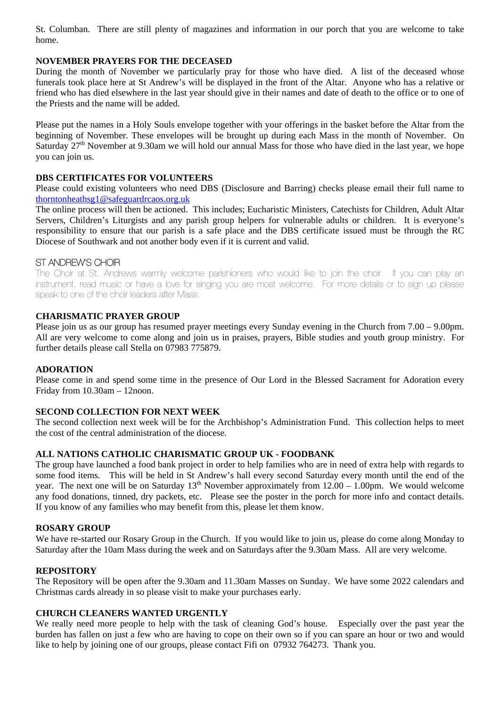St. Columban. There are still plenty of magazines and information in our porch that you are welcome to take home.

## **NOVEMBER PRAYERS FOR THE DECEASED**

During the month of November we particularly pray for those who have died. A list of the deceased whose funerals took place here at St Andrew's will be displayed in the front of the Altar. Anyone who has a relative or friend who has died elsewhere in the last year should give in their names and date of death to the office or to one of the Priests and the name will be added.

Please put the names in a Holy Souls envelope together with your offerings in the basket before the Altar from the beginning of November. These envelopes will be brought up during each Mass in the month of November. On Saturday 27<sup>th</sup> November at 9.30am we will hold our annual Mass for those who have died in the last year, we hope you can join us.

## **DBS CERTIFICATES FOR VOLUNTEERS**

Please could existing volunteers who need DBS (Disclosure and Barring) checks please email their full name to [thorntonheathsg1@safeguardrcaos.org.uk](mailto:thorntonheathsg1@safeguardrcaos.org.uk)

The online process will then be actioned. This includes; Eucharistic Ministers, Catechists for Children, Adult Altar Servers, Children's Liturgists and any parish group helpers for vulnerable adults or children. It is everyone's responsibility to ensure that our parish is a safe place and the DBS certificate issued must be through the RC Diocese of Southwark and not another body even if it is current and valid.

# ST ANDREW'S CHOIR

The Choir at St. Andrews warmly welcome parishioners who would like to join the choir. If you can play an instrument, read music or have a love for singing you are most welcome. For more details or to sign up please speak to one of the choir leaders after Mass.

## **CHARISMATIC PRAYER GROUP**

Please join us as our group has resumed prayer meetings every Sunday evening in the Church from 7.00 – 9.00pm. All are very welcome to come along and join us in praises, prayers, Bible studies and youth group ministry. For further details please call Stella on 07983 775879.

### **ADORATION**

Please come in and spend some time in the presence of Our Lord in the Blessed Sacrament for Adoration every Friday from 10.30am – 12noon.

### **SECOND COLLECTION FOR NEXT WEEK**

The second collection next week will be for the Archbishop's Administration Fund. This collection helps to meet the cost of the central administration of the diocese.

### **ALL NATIONS CATHOLIC CHARISMATIC GROUP UK - FOODBANK**

The group have launched a food bank project in order to help families who are in need of extra help with regards to some food items. This will be held in St Andrew's hall every second Saturday every month until the end of the year. The next one will be on Saturday  $13<sup>th</sup>$  November approximately from  $12.00 - 1.00$ pm. We would welcome any food donations, tinned, dry packets, etc. Please see the poster in the porch for more info and contact details. If you know of any families who may benefit from this, please let them know.

### **ROSARY GROUP**

We have re-started our Rosary Group in the Church. If you would like to join us, please do come along Monday to Saturday after the 10am Mass during the week and on Saturdays after the 9.30am Mass. All are very welcome.

### **REPOSITORY**

The Repository will be open after the 9.30am and 11.30am Masses on Sunday. We have some 2022 calendars and Christmas cards already in so please visit to make your purchases early.

### **CHURCH CLEANERS WANTED URGENTLY**

We really need more people to help with the task of cleaning God's house. Especially over the past year the burden has fallen on just a few who are having to cope on their own so if you can spare an hour or two and would like to help by joining one of our groups, please contact Fifi on 07932 764273. Thank you.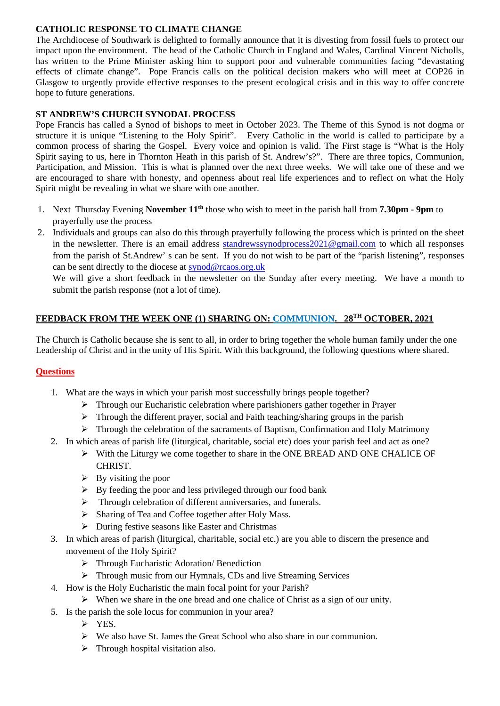# **CATHOLIC RESPONSE TO CLIMATE CHANGE**

The Archdiocese of Southwark is delighted to formally announce that it is divesting from fossil fuels to protect our impact upon the environment. The head of the Catholic Church in England and Wales, Cardinal Vincent Nicholls, has written to the Prime Minister asking him to support poor and vulnerable communities facing "devastating effects of climate change". Pope Francis calls on the political decision makers who will meet at COP26 in Glasgow to urgently provide effective responses to the present ecological crisis and in this way to offer concrete hope to future generations.

# **ST ANDREW'S CHURCH SYNODAL PROCESS**

Pope Francis has called a Synod of bishops to meet in October 2023. The Theme of this Synod is not dogma or structure it is unique "Listening to the Holy Spirit". Every Catholic in the world is called to participate by a common process of sharing the Gospel. Every voice and opinion is valid. The First stage is "What is the Holy Spirit saying to us, here in Thornton Heath in this parish of St. Andrew's?". There are three topics, Communion, Participation, and Mission. This is what is planned over the next three weeks. We will take one of these and we are encouraged to share with honesty, and openness about real life experiences and to reflect on what the Holy Spirit might be revealing in what we share with one another.

- 1. Next Thursday Evening **November 11th** those who wish to meet in the parish hall from **7.30pm - 9pm** to prayerfully use the process
- 2. Individuals and groups can also do this through prayerfully following the process which is printed on the sheet in the newsletter. There is an email address [standrewssynodprocess2021@gmail.com](mailto:standrewssynodprocess2021@gmail.com) to which all responses from the parish of St.Andrew' s can be sent. If you do not wish to be part of the "parish listening", responses can be sent directly to the diocese at [synod@rcaos.org.uk](mailto:synod@rcaos.org.uk)

We will give a short feedback in the newsletter on the Sunday after every meeting. We have a month to submit the parish response (not a lot of time).

# **FEEDBACK FROM THE WEEK ONE (1) SHARING ON: COMMUNION. 28TH OCTOBER, 2021**

The Church is Catholic because she is sent to all, in order to bring together the whole human family under the one Leadership of Christ and in the unity of His Spirit. With this background, the following questions where shared.

# **Questions**

- 1. What are the ways in which your parish most successfully brings people together?
	- $\triangleright$  Through our Eucharistic celebration where parishioners gather together in Prayer
	- $\triangleright$  Through the different prayer, social and Faith teaching/sharing groups in the parish
	- $\triangleright$  Through the celebration of the sacraments of Baptism, Confirmation and Holy Matrimony
- 2. In which areas of parish life (liturgical, charitable, social etc) does your parish feel and act as one?
	- With the Liturgy we come together to share in the ONE BREAD AND ONE CHALICE OF CHRIST.
	- $\triangleright$  By visiting the poor
	- $\triangleright$  By feeding the poor and less privileged through our food bank
	- $\triangleright$  Through celebration of different anniversaries, and funerals.
	- Sharing of Tea and Coffee together after Holy Mass.
	- During festive seasons like Easter and Christmas
- 3. In which areas of parish (liturgical, charitable, social etc.) are you able to discern the presence and movement of the Holy Spirit?
	- Through Eucharistic Adoration/ Benediction
	- Through music from our Hymnals, CDs and live Streaming Services
- 4. How is the Holy Eucharistic the main focal point for your Parish?
	- $\triangleright$  When we share in the one bread and one chalice of Christ as a sign of our unity.
- 5. Is the parish the sole locus for communion in your area?
	- $\triangleright$  YES.
	- $\triangleright$  We also have St. James the Great School who also share in our communion.
	- $\triangleright$  Through hospital visitation also.